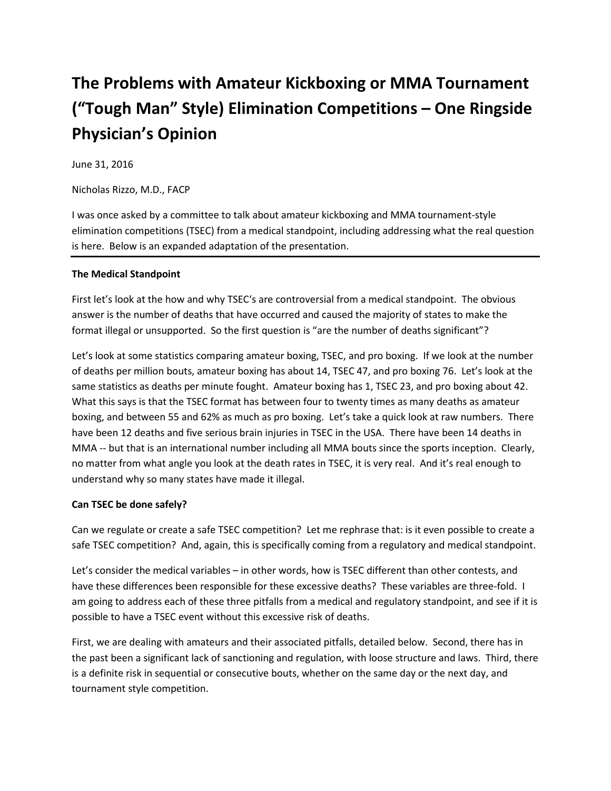# **The Problems with Amateur Kickboxing or MMA Tournament ("Tough Man" Style) Elimination Competitions – One Ringside Physician's Opinion**

June 31, 2016

Nicholas Rizzo, M.D., FACP

I was once asked by a committee to talk about amateur kickboxing and MMA tournament-style elimination competitions (TSEC) from a medical standpoint, including addressing what the real question is here. Below is an expanded adaptation of the presentation.

# **The Medical Standpoint**

First let's look at the how and why TSEC's are controversial from a medical standpoint. The obvious answer is the number of deaths that have occurred and caused the majority of states to make the format illegal or unsupported. So the first question is "are the number of deaths significant"?

Let's look at some statistics comparing amateur boxing, TSEC, and pro boxing. If we look at the number of deaths per million bouts, amateur boxing has about 14, TSEC 47, and pro boxing 76. Let's look at the same statistics as deaths per minute fought. Amateur boxing has 1, TSEC 23, and pro boxing about 42. What this says is that the TSEC format has between four to twenty times as many deaths as amateur boxing, and between 55 and 62% as much as pro boxing. Let's take a quick look at raw numbers. There have been 12 deaths and five serious brain injuries in TSEC in the USA. There have been 14 deaths in MMA -- but that is an international number including all MMA bouts since the sports inception. Clearly, no matter from what angle you look at the death rates in TSEC, it is very real. And it's real enough to understand why so many states have made it illegal.

## **Can TSEC be done safely?**

Can we regulate or create a safe TSEC competition? Let me rephrase that: is it even possible to create a safe TSEC competition? And, again, this is specifically coming from a regulatory and medical standpoint.

Let's consider the medical variables – in other words, how is TSEC different than other contests, and have these differences been responsible for these excessive deaths? These variables are three-fold. I am going to address each of these three pitfalls from a medical and regulatory standpoint, and see if it is possible to have a TSEC event without this excessive risk of deaths.

First, we are dealing with amateurs and their associated pitfalls, detailed below. Second, there has in the past been a significant lack of sanctioning and regulation, with loose structure and laws. Third, there is a definite risk in sequential or consecutive bouts, whether on the same day or the next day, and tournament style competition.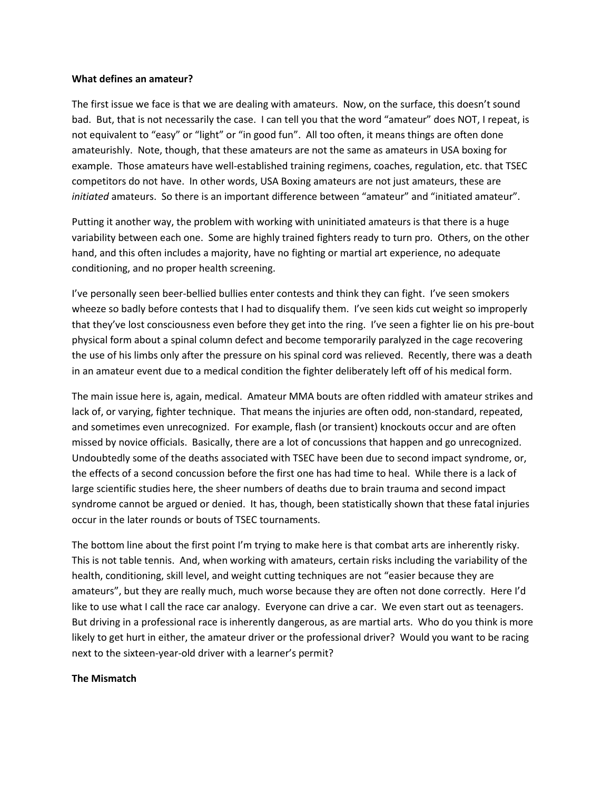#### **What defines an amateur?**

The first issue we face is that we are dealing with amateurs. Now, on the surface, this doesn't sound bad. But, that is not necessarily the case. I can tell you that the word "amateur" does NOT, I repeat, is not equivalent to "easy" or "light" or "in good fun". All too often, it means things are often done amateurishly. Note, though, that these amateurs are not the same as amateurs in USA boxing for example. Those amateurs have well-established training regimens, coaches, regulation, etc. that TSEC competitors do not have. In other words, USA Boxing amateurs are not just amateurs, these are *initiated* amateurs. So there is an important difference between "amateur" and "initiated amateur".

Putting it another way, the problem with working with uninitiated amateurs is that there is a huge variability between each one. Some are highly trained fighters ready to turn pro. Others, on the other hand, and this often includes a majority, have no fighting or martial art experience, no adequate conditioning, and no proper health screening.

I've personally seen beer-bellied bullies enter contests and think they can fight. I've seen smokers wheeze so badly before contests that I had to disqualify them. I've seen kids cut weight so improperly that they've lost consciousness even before they get into the ring. I've seen a fighter lie on his pre-bout physical form about a spinal column defect and become temporarily paralyzed in the cage recovering the use of his limbs only after the pressure on his spinal cord was relieved. Recently, there was a death in an amateur event due to a medical condition the fighter deliberately left off of his medical form.

The main issue here is, again, medical. Amateur MMA bouts are often riddled with amateur strikes and lack of, or varying, fighter technique. That means the injuries are often odd, non-standard, repeated, and sometimes even unrecognized. For example, flash (or transient) knockouts occur and are often missed by novice officials. Basically, there are a lot of concussions that happen and go unrecognized. Undoubtedly some of the deaths associated with TSEC have been due to second impact syndrome, or, the effects of a second concussion before the first one has had time to heal. While there is a lack of large scientific studies here, the sheer numbers of deaths due to brain trauma and second impact syndrome cannot be argued or denied. It has, though, been statistically shown that these fatal injuries occur in the later rounds or bouts of TSEC tournaments.

The bottom line about the first point I'm trying to make here is that combat arts are inherently risky. This is not table tennis. And, when working with amateurs, certain risks including the variability of the health, conditioning, skill level, and weight cutting techniques are not "easier because they are amateurs", but they are really much, much worse because they are often not done correctly. Here I'd like to use what I call the race car analogy. Everyone can drive a car. We even start out as teenagers. But driving in a professional race is inherently dangerous, as are martial arts. Who do you think is more likely to get hurt in either, the amateur driver or the professional driver? Would you want to be racing next to the sixteen-year-old driver with a learner's permit?

#### **The Mismatch**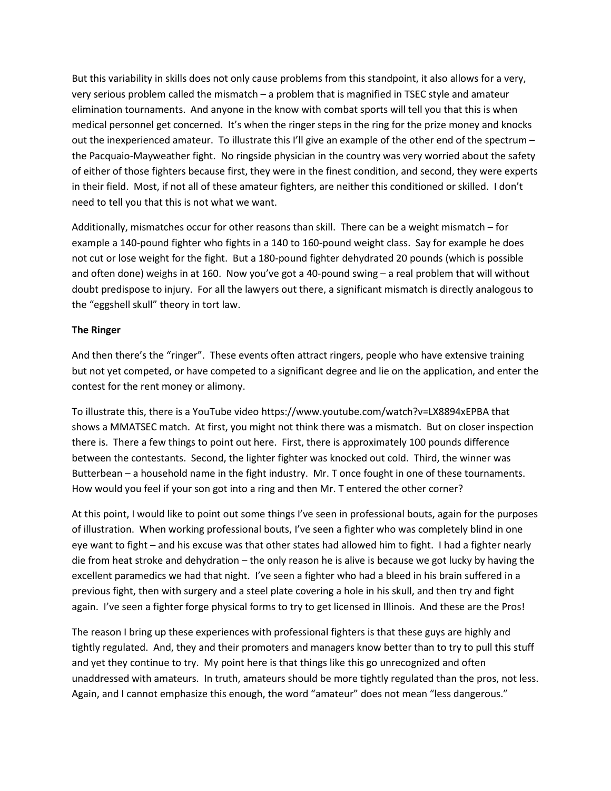But this variability in skills does not only cause problems from this standpoint, it also allows for a very, very serious problem called the mismatch – a problem that is magnified in TSEC style and amateur elimination tournaments. And anyone in the know with combat sports will tell you that this is when medical personnel get concerned. It's when the ringer steps in the ring for the prize money and knocks out the inexperienced amateur. To illustrate this I'll give an example of the other end of the spectrum – the Pacquaio-Mayweather fight. No ringside physician in the country was very worried about the safety of either of those fighters because first, they were in the finest condition, and second, they were experts in their field. Most, if not all of these amateur fighters, are neither this conditioned or skilled. I don't need to tell you that this is not what we want.

Additionally, mismatches occur for other reasons than skill. There can be a weight mismatch – for example a 140-pound fighter who fights in a 140 to 160-pound weight class. Say for example he does not cut or lose weight for the fight. But a 180-pound fighter dehydrated 20 pounds (which is possible and often done) weighs in at 160. Now you've got a 40-pound swing – a real problem that will without doubt predispose to injury. For all the lawyers out there, a significant mismatch is directly analogous to the "eggshell skull" theory in tort law.

## **The Ringer**

And then there's the "ringer". These events often attract ringers, people who have extensive training but not yet competed, or have competed to a significant degree and lie on the application, and enter the contest for the rent money or alimony.

To illustrate this, there is a YouTube video https://www.youtube.com/watch?v=LX8894xEPBA that shows a MMATSEC match. At first, you might not think there was a mismatch. But on closer inspection there is. There a few things to point out here. First, there is approximately 100 pounds difference between the contestants. Second, the lighter fighter was knocked out cold. Third, the winner was Butterbean – a household name in the fight industry. Mr. T once fought in one of these tournaments. How would you feel if your son got into a ring and then Mr. T entered the other corner?

At this point, I would like to point out some things I've seen in professional bouts, again for the purposes of illustration. When working professional bouts, I've seen a fighter who was completely blind in one eye want to fight – and his excuse was that other states had allowed him to fight. I had a fighter nearly die from heat stroke and dehydration – the only reason he is alive is because we got lucky by having the excellent paramedics we had that night. I've seen a fighter who had a bleed in his brain suffered in a previous fight, then with surgery and a steel plate covering a hole in his skull, and then try and fight again. I've seen a fighter forge physical forms to try to get licensed in Illinois. And these are the Pros!

The reason I bring up these experiences with professional fighters is that these guys are highly and tightly regulated. And, they and their promoters and managers know better than to try to pull this stuff and yet they continue to try. My point here is that things like this go unrecognized and often unaddressed with amateurs. In truth, amateurs should be more tightly regulated than the pros, not less. Again, and I cannot emphasize this enough, the word "amateur" does not mean "less dangerous."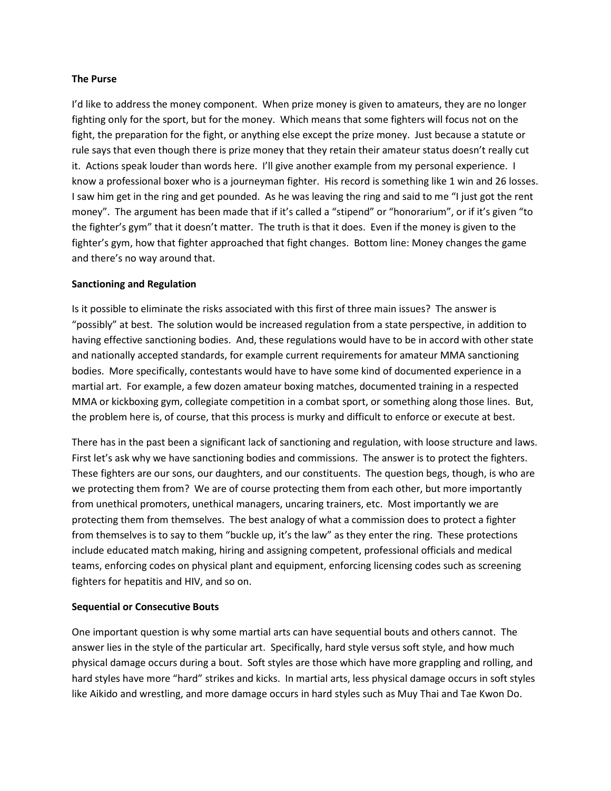## **The Purse**

I'd like to address the money component. When prize money is given to amateurs, they are no longer fighting only for the sport, but for the money. Which means that some fighters will focus not on the fight, the preparation for the fight, or anything else except the prize money. Just because a statute or rule says that even though there is prize money that they retain their amateur status doesn't really cut it. Actions speak louder than words here. I'll give another example from my personal experience. I know a professional boxer who is a journeyman fighter. His record is something like 1 win and 26 losses. I saw him get in the ring and get pounded. As he was leaving the ring and said to me "I just got the rent money". The argument has been made that if it's called a "stipend" or "honorarium", or if it's given "to the fighter's gym" that it doesn't matter. The truth is that it does. Even if the money is given to the fighter's gym, how that fighter approached that fight changes. Bottom line: Money changes the game and there's no way around that.

#### **Sanctioning and Regulation**

Is it possible to eliminate the risks associated with this first of three main issues? The answer is "possibly" at best. The solution would be increased regulation from a state perspective, in addition to having effective sanctioning bodies. And, these regulations would have to be in accord with other state and nationally accepted standards, for example current requirements for amateur MMA sanctioning bodies. More specifically, contestants would have to have some kind of documented experience in a martial art. For example, a few dozen amateur boxing matches, documented training in a respected MMA or kickboxing gym, collegiate competition in a combat sport, or something along those lines. But, the problem here is, of course, that this process is murky and difficult to enforce or execute at best.

There has in the past been a significant lack of sanctioning and regulation, with loose structure and laws. First let's ask why we have sanctioning bodies and commissions. The answer is to protect the fighters. These fighters are our sons, our daughters, and our constituents. The question begs, though, is who are we protecting them from? We are of course protecting them from each other, but more importantly from unethical promoters, unethical managers, uncaring trainers, etc. Most importantly we are protecting them from themselves. The best analogy of what a commission does to protect a fighter from themselves is to say to them "buckle up, it's the law" as they enter the ring. These protections include educated match making, hiring and assigning competent, professional officials and medical teams, enforcing codes on physical plant and equipment, enforcing licensing codes such as screening fighters for hepatitis and HIV, and so on.

## **Sequential or Consecutive Bouts**

One important question is why some martial arts can have sequential bouts and others cannot. The answer lies in the style of the particular art. Specifically, hard style versus soft style, and how much physical damage occurs during a bout. Soft styles are those which have more grappling and rolling, and hard styles have more "hard" strikes and kicks. In martial arts, less physical damage occurs in soft styles like Aikido and wrestling, and more damage occurs in hard styles such as Muy Thai and Tae Kwon Do.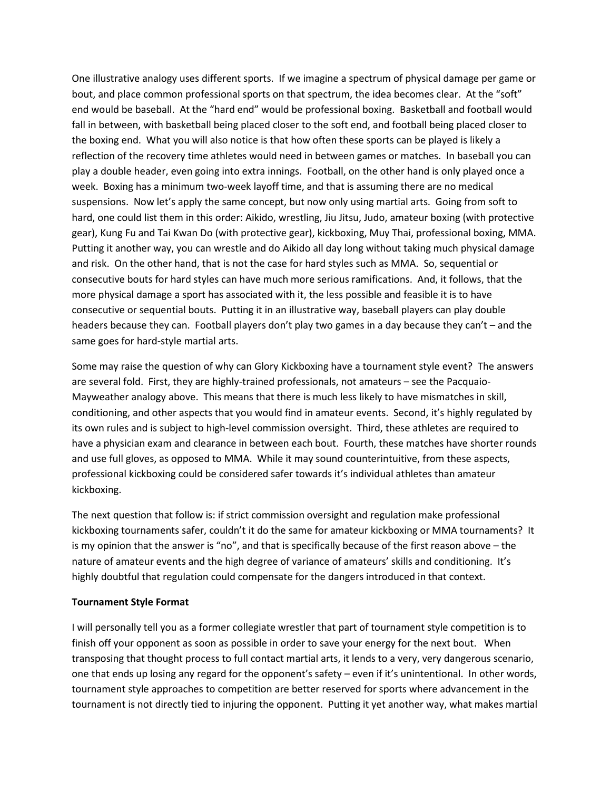One illustrative analogy uses different sports. If we imagine a spectrum of physical damage per game or bout, and place common professional sports on that spectrum, the idea becomes clear. At the "soft" end would be baseball. At the "hard end" would be professional boxing. Basketball and football would fall in between, with basketball being placed closer to the soft end, and football being placed closer to the boxing end. What you will also notice is that how often these sports can be played is likely a reflection of the recovery time athletes would need in between games or matches. In baseball you can play a double header, even going into extra innings. Football, on the other hand is only played once a week. Boxing has a minimum two-week layoff time, and that is assuming there are no medical suspensions. Now let's apply the same concept, but now only using martial arts. Going from soft to hard, one could list them in this order: Aikido, wrestling, Jiu Jitsu, Judo, amateur boxing (with protective gear), Kung Fu and Tai Kwan Do (with protective gear), kickboxing, Muy Thai, professional boxing, MMA. Putting it another way, you can wrestle and do Aikido all day long without taking much physical damage and risk. On the other hand, that is not the case for hard styles such as MMA. So, sequential or consecutive bouts for hard styles can have much more serious ramifications. And, it follows, that the more physical damage a sport has associated with it, the less possible and feasible it is to have consecutive or sequential bouts. Putting it in an illustrative way, baseball players can play double headers because they can. Football players don't play two games in a day because they can't – and the same goes for hard-style martial arts.

Some may raise the question of why can Glory Kickboxing have a tournament style event? The answers are several fold. First, they are highly-trained professionals, not amateurs – see the Pacquaio-Mayweather analogy above. This means that there is much less likely to have mismatches in skill, conditioning, and other aspects that you would find in amateur events. Second, it's highly regulated by its own rules and is subject to high-level commission oversight. Third, these athletes are required to have a physician exam and clearance in between each bout. Fourth, these matches have shorter rounds and use full gloves, as opposed to MMA. While it may sound counterintuitive, from these aspects, professional kickboxing could be considered safer towards it's individual athletes than amateur kickboxing.

The next question that follow is: if strict commission oversight and regulation make professional kickboxing tournaments safer, couldn't it do the same for amateur kickboxing or MMA tournaments? It is my opinion that the answer is "no", and that is specifically because of the first reason above – the nature of amateur events and the high degree of variance of amateurs' skills and conditioning. It's highly doubtful that regulation could compensate for the dangers introduced in that context.

#### **Tournament Style Format**

I will personally tell you as a former collegiate wrestler that part of tournament style competition is to finish off your opponent as soon as possible in order to save your energy for the next bout. When transposing that thought process to full contact martial arts, it lends to a very, very dangerous scenario, one that ends up losing any regard for the opponent's safety – even if it's unintentional. In other words, tournament style approaches to competition are better reserved for sports where advancement in the tournament is not directly tied to injuring the opponent. Putting it yet another way, what makes martial